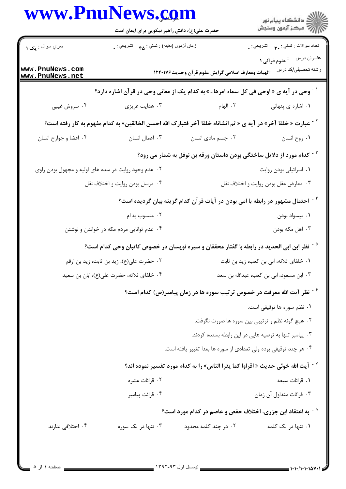|                                                      | www.PnuNews.com<br>حضرت علی(ع): دانش راهبر نیکویی برای ایمان است |                                                                                                                           | ان دانشگاه پيام نور<br>  > مرکز آزمون وسنجش      |  |
|------------------------------------------------------|------------------------------------------------------------------|---------------------------------------------------------------------------------------------------------------------------|--------------------------------------------------|--|
| سري سوال : يک ۱                                      | زمان أزمون (دقيقه) : تستى: <sub>۴۵</sub> تشريحي : .              |                                                                                                                           | نعداد سوالات : تستي : ٣ <b>. س</b> تشريحي : .    |  |
| www.PnuNews.com<br>www.PnuNews.net                   |                                                                  | رشته تحصيلي/كد درس على الهيات ومعارف اسلامى گرايش علوم قرآن وحديث۱۲۲۰۱۷۶                                                  |                                                  |  |
|                                                      |                                                                  | <sup>\ -</sup> وحي در آيه ي « اوحي في كل سماء امرها…» به كدام يک از معاني وحي در قرآن اشاره دارد؟                         |                                                  |  |
| ۰۴ سروش غیبی                                         | ۰۳ هدایت غریزی                                                   | ٢. الهام                                                                                                                  | ۰۱ اشاره ی پنهانی                                |  |
|                                                      |                                                                  | <sup>٢ -</sup> عبارت « خلقا آخر» در آيه ي « ثم انشاناه خلقا آخر فتبارك الله احسن الخالقين» به كدام مفهوم به كار رفته است؟ |                                                  |  |
| ۰۴ اعضا و جوارح انسان                                | ۰۳ اعمال انسان                                                   | ۰۲ جسم مادی انسان                                                                                                         | ٠١ روح انسان                                     |  |
|                                                      |                                                                  | <sup>۳ -</sup> کدام مورد از دلایل ساختگی بودن داستان ورقه بن نوفل به شمار می رود؟                                         |                                                  |  |
| ۰۲ عدم وجود روایت در سده های اولیه و مجهول بودن راوی |                                                                  |                                                                                                                           | ۰۱ اسرائیلی بودن روایت                           |  |
| ۰۴ مرسل بودن روايت و اختلاف نقل                      |                                                                  | ۰۳ معارض عقل بودن روايت و اختلاف نقل                                                                                      |                                                  |  |
|                                                      |                                                                  | <sup>۲ -</sup> احتمال مشهور در رابطه با امی بودن در آیات قر آن کدام گزینه بیان گردیده است؟                                |                                                  |  |
|                                                      | ۰۲ منسوب به ام                                                   |                                                                                                                           | ٠١ بيسواد بودن                                   |  |
|                                                      | ۰۴ عدم توانایی مردم مکه در خواندن و نوشتن                        |                                                                                                                           | ۰۳ اهل مکه بودن                                  |  |
|                                                      |                                                                  | <sup>ه -</sup> نظر ابن ابی الحدید در رابطه با گفتار محققان و سیره نویسان در خصوص کاتبان وحی کدام است؟                     |                                                  |  |
|                                                      | ٠٢ حضرت علي(ع)، زيد بن ثابت، زيد بن ارقم                         |                                                                                                                           | ۰۱ خلفای ثلاثه، ابی بن کعب، زید بن ثابت          |  |
|                                                      | ۰۴ خلفای ثلاثه، حضرت علی(ع)، ابان بن سعید                        |                                                                                                                           | ۰۳ ابن مسعود، ابی بن کعب، عبدالله بن سعد         |  |
|                                                      |                                                                  | <sup>۶ -</sup> نظر آیت الله معرفت در خصوص ترتیب سوره ها در زمان پیامبر(ص) کدام است؟                                       |                                                  |  |
|                                                      |                                                                  |                                                                                                                           | ٠١ نظم سوره ها توقيفي است.                       |  |
|                                                      |                                                                  |                                                                                                                           | ۰۲ هیچ گونه نظم و ترتیبی بین سوره ها صورت نگرفت. |  |
|                                                      |                                                                  | ۰۳ پیامبر تنها به توصیه هایی در این رابطه بسنده کردند.                                                                    |                                                  |  |
|                                                      |                                                                  | ۰۴ هر چند توقیفی بوده ولی تعدادی از سوره ها بعدا تغییر یافته است.                                                         |                                                  |  |
|                                                      |                                                                  | $^{\circ}$ اً آيت الله خوئي حديث « اقراوا كما يقرا الناس» را به كدام مورد تفسير نموده اند $^{\circ}$                      |                                                  |  |
|                                                      | ۰۲ قرائات عشره                                                   |                                                                                                                           | ۰۱ قرائات سبعه                                   |  |
|                                                      | ۰۴ قرائت پيامبر                                                  |                                                                                                                           | ۰۳ قرائات متداول آن زمان                         |  |
|                                                      |                                                                  | <sup>^ -</sup> به اعتقاد ابن جزری، اختلاف حفص و عاصم در کدام مورد است؟                                                    |                                                  |  |
| ۰۴ اختلافی ندارند                                    | ۰۳ تنها در یک سوره                                               | ۰۲ در چند کلمه محدود                                                                                                      | ۰۱ تنها در یک کلمه                               |  |
|                                                      |                                                                  |                                                                                                                           |                                                  |  |
|                                                      |                                                                  |                                                                                                                           |                                                  |  |

Ĭ.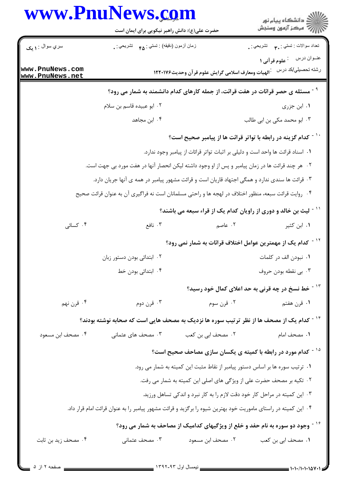|                        | حضرت علی(ع): دانش راهبر نیکویی برای ایمان است                                                                  |                                                                 | ر<br>دانشڪاه پيام نور)<br>ا∛ مرڪز آزمون وسنڊش                                               |
|------------------------|----------------------------------------------------------------------------------------------------------------|-----------------------------------------------------------------|---------------------------------------------------------------------------------------------|
| سري سوال : <b>۱ يک</b> | زمان أزمون (دقيقه) : تستي : <sub>۴۵</sub> تشريحي : <sub>•</sub>                                                |                                                                 | نعداد سوالات : نستي : ٣ <b>. سي</b> انشريحي : .                                             |
| www.PnuNews.com        |                                                                                                                |                                                                 | عنــوان درس<br><sup>:</sup> علوم قرآنی ۱<br>رشته تحصيلي/كد درس                              |
| www.PnuNews.net        |                                                                                                                | <sup>.</sup> الهيات ومعارف اسلامي گرايش علوم قر آن وحديث۱۲۲۰۱۷۶ |                                                                                             |
|                        |                                                                                                                |                                                                 | <sup>9 -</sup> مسئله ی حصر قرائات در هفت قرائت، از جمله کارهای کدام دانشمند به شمار می رود؟ |
|                        | ۰۲ ابو عبیده قاسم بن سلام                                                                                      |                                                                 | ۰۱ ابن جزری                                                                                 |
|                        | ۰۴ ابن مجاهد                                                                                                   |                                                                 | ۰۳ ابو محمد مکی بن ابی طالب                                                                 |
|                        |                                                                                                                |                                                                 | <sup>۱۰ -</sup> کدام گزینه در رابطه با تواتر قرائت ها از پیامبر صحیح است؟                   |
|                        |                                                                                                                |                                                                 | ١. اسناد قرائت ها واحد است و دلیلی بر اثبات تواتر قرائات از پیامبر وجود ندارد.              |
|                        | ۰۲ هر چند قرائت ها در زمان پیامبر و پس از او وجود داشته لیکن انحصار آنها در هفت مورد بی جهت است.               |                                                                 |                                                                                             |
|                        | ۰۳ قرائت ها سندی ندارد و همگی اجتهاد قاریان است و قرائت مشهور پیامبر در همه ی آنها جریان دارد.                 |                                                                 |                                                                                             |
|                        | ۰۴ روایت قرائت سبعه، منظور اختلاف در لهجه ها و راحتی مسلمانان است نه فراگیری آن به عنوان قرائت صحیح            |                                                                 |                                                                                             |
|                        |                                                                                                                |                                                                 | `` - لیث بن خالد و دوری از راویان کدام یک از قراء سبعه می باشند؟                            |
| ۰۴ کسائی               | ۰۳ نافع                                                                                                        | ۰۲ عاصم                                                         | ۰۱ ابن کثیر                                                                                 |
|                        |                                                                                                                |                                                                 | <sup>۱۲ -</sup> کدام یک از مهمترین عوامل اختلاف قرائات به شمار نمی رود؟                     |
|                        | ۰۲ ابتدائی بودن دستور زبان                                                                                     |                                                                 | ٠١ نبودن الف در كلمات                                                                       |
|                        | ۰۴ ابتدائی بودن خط                                                                                             |                                                                 | ۰۳ بی نقطه بودن حروف                                                                        |
|                        |                                                                                                                |                                                                 | <sup>۱۳ -</sup> خط نسخ در چه قرنی به حد اعلای کمال خود رسید؟                                |
| ۰۴ قرن نهم             | ۰۳ قرن دوم                                                                                                     | ۰۲ قرن سوم                                                      | ۰۱ قرن هفتم                                                                                 |
|                        |                                                                                                                |                                                                 |                                                                                             |
|                        | <sup>۱۴ -</sup> کدام یک از مصحف ها از نظر ترتیب سوره ها نزدیک به مصحف هایی است که صحابه نوشته بودند؟           |                                                                 |                                                                                             |
| ۰۴ مصحف ابن مسعود      | ۰۳ مصحف های عثمانی                                                                                             | ۰۲ مصحف ابی بن کعب                                              | ۰۱ مصحف امام                                                                                |
|                        |                                                                                                                |                                                                 | <sup>۱۵ -</sup> کدام مورد در رابطه با کمیته ی یکسان سازی مصاحف صحیح است؟                    |
|                        |                                                                                                                |                                                                 | ۰۱ ترتیب سوره ها بر اساس دستور پیامبر از نقاط مثبت این کمیته به شمار می رود.                |
|                        |                                                                                                                |                                                                 | ۰۲ تکیه بر مصحف حضرت علی از ویژگی های اصلی این کمیته به شمار می رفت.                        |
|                        |                                                                                                                |                                                                 | ۰۳ این کمیته در مراحل کار خود دقت لازم را به کار نبرد و اندکی تساهل ورزید.                  |
|                        | ۰۴ این کمیته در راستای ماموریت خود بهترین شیوه را برگزید و قرائت مشهور پیامبر را به عنوان قرائت امام قرار داد. |                                                                 |                                                                                             |
|                        |                                                                                                                |                                                                 | ٔ آ - وجود دو سوره به نام حفد و خلع از ویژگیهای کدامیک از مصاحف به شمار می رود؟             |
| ۰۴ مصحف زید بن ثابت    | ۰۳ مصحف عثمانی                                                                                                 | ۰۲ مصحف ابن مسعود                                               | ٠١. مصحف ابي بن كعب                                                                         |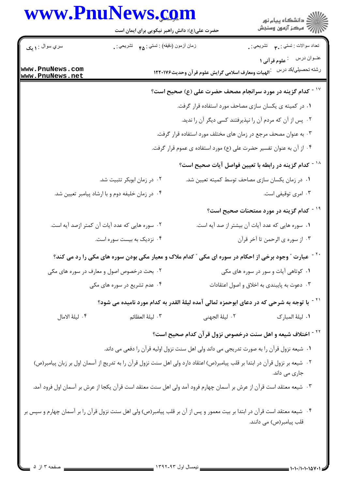## www.PnuNews.com

.<br>گ دانشگاه پیام نو**ر** أأزار آمركز آزمون وسنجش حضرت علی(ع): دانش راهبر نیکویی برای ایمان است سري سوال : **۱ یک** نعداد سوالات : تستي : ٣**.** تشريحي : . زمان أزمون (دقيقه) : تستى : <sub>۴۸</sub> تشريحي : <sub>.</sub> رشته تحصیلي/کد درس :الهیات ومعارف اسلامی گرایش علوم قر آن وحدیث۱۲۲۰۱۷۶ www.PnuNews.com www.PnuNews.net <sup>۱۷ -</sup> کدام گزینه در مورد سرانجام مصحف حضرت علی (ع) صحیح است؟ ۰۱ در کمیته ی یکسان سازی مصاحف مورد استفاده قرار گرفت. ۲. پس از آن که مردم آن را نپذیرفتند کسی دیگر آن را ندید. ۰۳ به عنوان مصحف مرجع در زمان های مختلف مورد استفاده قرار گرفت. ۰۴ از آن به عنوان تفسیر حضرت علی (ع) مورد استفاده ی عموم قرار گرفت. <sup>۱۸ -</sup> کدام گزینه در رابطه با تعیین فواصل آیات صحیح است؟ ۰۲ در زمان ابوبکر تثبیت شد. ۰۱ در زمان یکسان سازی مصاحف توسط کمیته تعیین شد. ۰۴ در زمان خلیفه دوم و با ارشاد پیامبر تعیین شد. ۰۳ امری توقیفی است. <sup>۱۹ -</sup> کدام گزینه در مورد ممتحنات صحیح است؟ ٢. سوره هایی که عدد آیات آن کمتر ازصد آیه است. ۰۱ سوره هایی که عدد آیات آن بیشتر از صد آیه است. ۰۴ نزدیک به پیست سوره است. ٠٣ از سوره ي الرحمن تا آخر قرآن <sup>۲۰ -</sup> عبارت ″ وجود برخی از احکام در سوره ای مکی ″ کدام ملاک و معیار مکی بودن سوره های مکی را رد می کند؟ ۲. بحث درخصوص اصول و معارف در سوره های مکی ۰۱ کوتاهی آیات و سور در سوره های مکی ۰۴ عدم تشریع در سوره های مکی ۰۳ دعوت به پایبندی به اخلاق و اصول اعتقادات <sup>۲۱ -</sup> با توجه به شرحی که در دعای ابوحمزه ثمالی آمده لیلهٔ القدر به کدام مورد نامیده می شود؟ ۴. ليلهٔ الامال ٠٣ ليلة العظائم ٢. ليلهٔ الجهني ٠١. ليلهٔ المبا, ک <sup>۲۲ -</sup> اختلاف شیعه و اهل سنت درخصوص نزول قرآن کدام صحیح است؟ ٠١ شيعه نزول قرآن را به صورت تدريجي مي داند ولي اهل سنت نزول اوليه قرآن را دفعي مي داند. ۲۰- شیعه بر نزول قرآن در ابتدا بر قلب پیامبر(ص) اعتقاد دارد ولی اهل سنت نزول قرآن را به تدریج از آسمان اول بر زبان پیامبر(ص) جاری می داند. ٣٠ شيعه معتقد است قرآن از عرش بر آسمان چهارم فرود آمد ولي اهل سنت معتقد است قرآن يكجا از عرش بر آسمان اول فرود آمد. ۰۴ شیعه معتقد است قرآن در ابتدا بر بیت معمور و پس از آن بر قلب پیامبر(ص) ولی اهل سنت نزول قرآن را بر آسمان چهارم و سپس بر قلب پیامبر(ص) می دانند.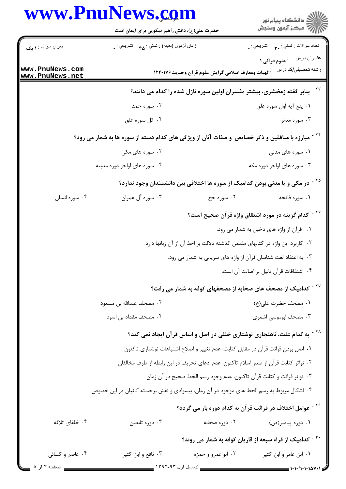|                                    | www.PnuNews.com<br>حضرت علی(ع): دانش راهبر نیکویی برای ایمان است                            |                                                    | ڪ دانشڪاه پيام نور<br>پ <sup>ر</sup> مرڪز آزمون وسنڊش                                     |  |  |
|------------------------------------|---------------------------------------------------------------------------------------------|----------------------------------------------------|-------------------------------------------------------------------------------------------|--|--|
| سري سوال : ۱ يک                    | زمان أزمون (دقيقه) : تستي : هم       تشريحي : .                                             |                                                    | تعداد سوالات : تستي : پم       تشريحي : .                                                 |  |  |
| www.PnuNews.com<br>www.PnuNews.net |                                                                                             | أالهيات ومعارف اسلامى گرايش علوم قرآن وحديث١٢٢٠١٧۶ | عنوان درس : علوم قرآني ١<br>رشته تحصيلي/كد درس                                            |  |  |
|                                    | <sup>۲۳ -</sup> بنابر گفته زمخشری، بیشتر مفسران اولین سوره نازل شده را کدام می دانند؟       |                                                    |                                                                                           |  |  |
|                                    | ۰۲ سوره حمد                                                                                 |                                                    | ٠١. پنج أيه اول سوره علق                                                                  |  |  |
|                                    | ۰۴ کل سوره علق                                                                              |                                                    | ۰۳ سوره مدثر                                                                              |  |  |
|                                    | مبارزه با منافقین و ذکر خصایص و صفات آنان از ویژگی های کدام دسته از سوره ها به شمار می رود؟ |                                                    |                                                                                           |  |  |
|                                    | ۰۲ سوره های مکی                                                                             |                                                    | ۰۱ سوره های مدنی                                                                          |  |  |
| ۰۴ سوره های اواخر دوره مدینه       |                                                                                             |                                                    | ۰۳ سوره های اواخر دوره مکه                                                                |  |  |
|                                    |                                                                                             |                                                    | <sup>۲۵ -</sup> در مکی و یا مدنی بودن کدامیک از سوره ها اختلافی بین دانشمندان وجود ندارد؟ |  |  |
| ۰۴ سوره انسان                      | ۰۳ سوره آل عمران                                                                            | ۰۲ سوره حج                                         | ۰۱ سوره فاتحه                                                                             |  |  |
|                                    |                                                                                             |                                                    | <sup>۲۶ -</sup> کدام گزینه در مورد اشتقاق واژه قرآن صحیح است؟                             |  |  |
|                                    |                                                                                             |                                                    | ۰۱ قرآن از واژه های دخیل به شمار می رود.                                                  |  |  |
|                                    | ۰۲ کاربرد این واژه در کتابهای مقدس گذشته دلالت بر اخذ آن از آن زبانها دارد.                 |                                                    |                                                                                           |  |  |
|                                    | ۰۳ به اعتقاد لغت شناسان قرآن از واژه های سریانی به شمار می رود.                             |                                                    |                                                                                           |  |  |
|                                    |                                                                                             |                                                    | ۰۴ اشتقاقات قرآن دليل بر اصالت آن است.                                                    |  |  |
|                                    | <sup>۲۷ -</sup> کدامیک از مصحف های صحابه از مصحفهای کوفه به شمار می رفت؟                    |                                                    |                                                                                           |  |  |
|                                    | ٠٢ مصحف عبدالله بن مسعود                                                                    |                                                    | ٠١ مصحف حضرت على(ع)                                                                       |  |  |
|                                    | ۰۴ مصحف مقداد بن اسود                                                                       |                                                    | ۰۳ مصحف ابوموسی اشعری                                                                     |  |  |
|                                    | <sup>۲۸ -</sup> به کدام علت، ناهنجاری نوشتاری خللی در اصل و اساس قرآن ایجاد نمی کند؟        |                                                    |                                                                                           |  |  |
|                                    | ٠١ اصل بودن قرائت قرآن در مقابل كتابت، عدم تغيير و اصلاح اشتباهات نوشتارى تاكنون            |                                                    |                                                                                           |  |  |
|                                    | ٢. تواتر كتابت قرآن از صدر اسلام تاكنون، عدم ادعاى تحريف در اين رابطه از طرف مخالفان        |                                                    |                                                                                           |  |  |
|                                    | ۰۳ تواتر قرائت و کتابت قرآن تاکنون، عدم وجود رسم الخط صحیح در آن زمان                       |                                                    |                                                                                           |  |  |
|                                    | ۰۴ اشکال مربوط به رسم الخط های موجود در آن زمان، بیسوادی و نقش برجسته کاتبان در این خصوص    |                                                    |                                                                                           |  |  |
|                                    |                                                                                             |                                                    | <sup>۲۹ -</sup> عوامل اختلاف در قرائت قر آن به کدام دوره باز می گردد؟                     |  |  |
| ۰۴ خلفای ثلاثه                     | ۰۳ دوره تابعین                                                                              | ۰۲ دوره صحابه                                      | ۰۱ دوره پیامبر(ص)                                                                         |  |  |
|                                    |                                                                                             |                                                    | <sup>۳۰ -</sup> کدامیک از قراء سبعه از قاریان کوفه به شمار می روند؟                       |  |  |
| ۰۴ عاصم و کسائی                    | ۰۳ نافع و ابن کثیر                                                                          | ۰۲ ابو عمرو و حمزه                                 | ۰۱ ابن عامر و ابن کثیر                                                                    |  |  |
| __ صفحه ۴ از ۵                     | _ نیمسال اول ۹۳-۱۳۹۲                                                                        |                                                    | $\equiv$ 1.1./1.1.1484                                                                    |  |  |